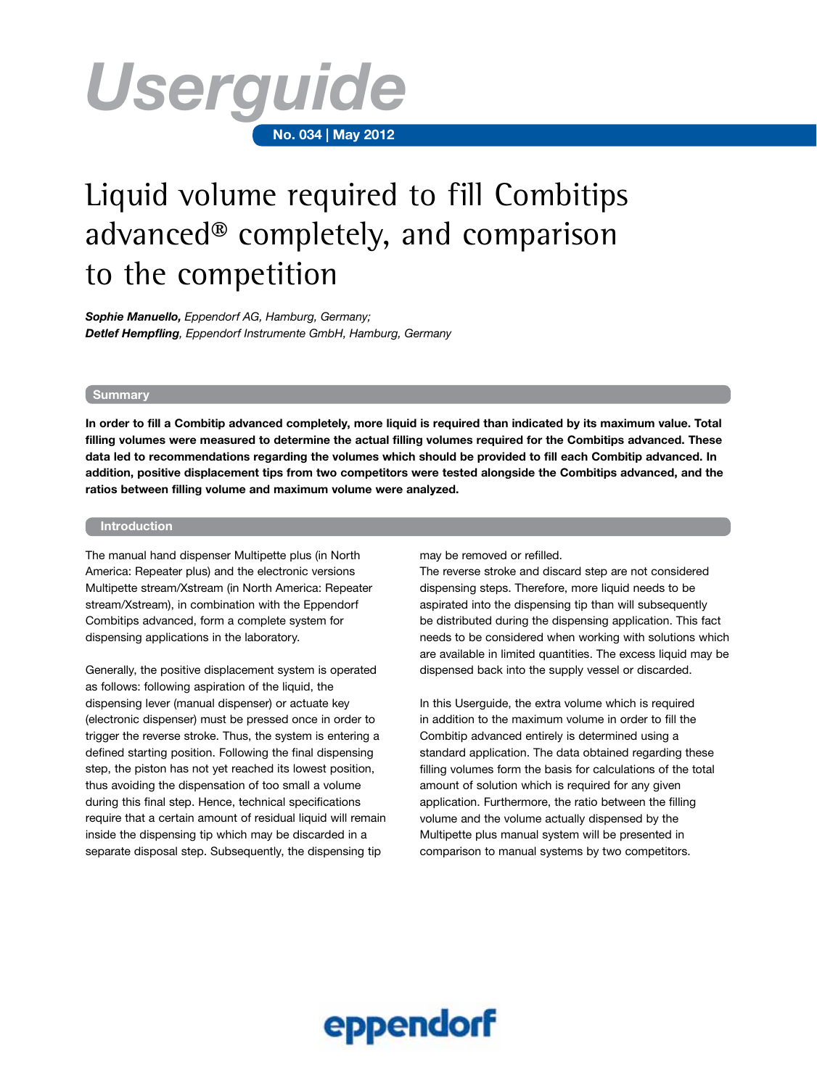

# Liquid volume required to fill Combitips advanced® completely, and comparison to the competition

*Sophie Manuello, Eppendorf AG, Hamburg, Germany; Detlef Hempfling, Eppendorf Instrumente GmbH, Hamburg, Germany*

### **Summary**

**In order to fill a Combitip advanced completely, more liquid is required than indicated by its maximum value. Total filling volumes were measured to determine the actual filling volumes required for the Combitips advanced. These data led to recommendations regarding the volumes which should be provided to fill each Combitip advanced. In addition, positive displacement tips from two competitors were tested alongside the Combitips advanced, and the ratios between filling volume and maximum volume were analyzed.** 

## **Introduction**

The manual hand dispenser Multipette plus (in North America: Repeater plus) and the electronic versions Multipette stream/Xstream (in North America: Repeater stream/Xstream), in combination with the Eppendorf Combitips advanced, form a complete system for dispensing applications in the laboratory.

Generally, the positive displacement system is operated as follows: following aspiration of the liquid, the dispensing lever (manual dispenser) or actuate key (electronic dispenser) must be pressed once in order to trigger the reverse stroke. Thus, the system is entering a defined starting position. Following the final dispensing step, the piston has not yet reached its lowest position, thus avoiding the dispensation of too small a volume during this final step. Hence, technical specifications require that a certain amount of residual liquid will remain inside the dispensing tip which may be discarded in a separate disposal step. Subsequently, the dispensing tip

may be removed or refilled.

The reverse stroke and discard step are not considered dispensing steps. Therefore, more liquid needs to be aspirated into the dispensing tip than will subsequently be distributed during the dispensing application. This fact needs to be considered when working with solutions which are available in limited quantities. The excess liquid may be dispensed back into the supply vessel or discarded.

In this Userguide, the extra volume which is required in addition to the maximum volume in order to fill the Combitip advanced entirely is determined using a standard application. The data obtained regarding these filling volumes form the basis for calculations of the total amount of solution which is required for any given application. Furthermore, the ratio between the filling volume and the volume actually dispensed by the Multipette plus manual system will be presented in comparison to manual systems by two competitors.

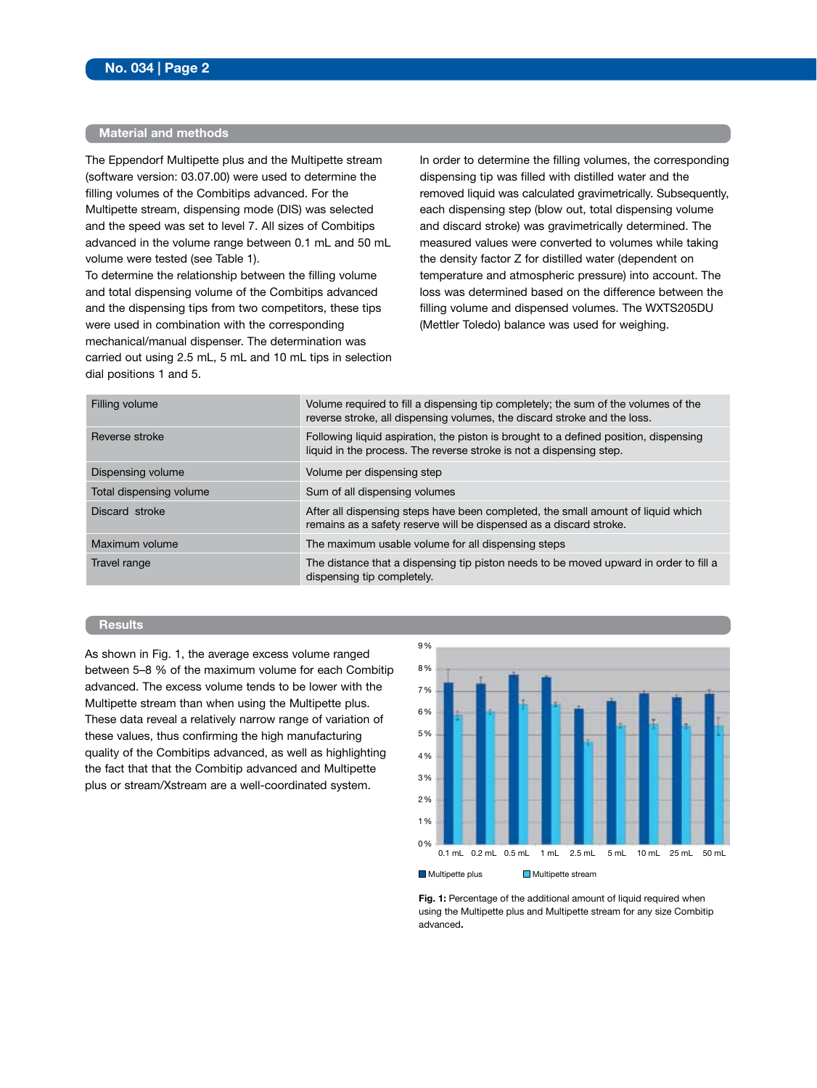## **Material and methods**

The Eppendorf Multipette plus and the Multipette stream (software version: 03.07.00) were used to determine the filling volumes of the Combitips advanced. For the Multipette stream, dispensing mode (DIS) was selected and the speed was set to level 7. All sizes of Combitips advanced in the volume range between 0.1 mL and 50 mL volume were tested (see Table 1).

To determine the relationship between the filling volume and total dispensing volume of the Combitips advanced and the dispensing tips from two competitors, these tips were used in combination with the corresponding mechanical/manual dispenser. The determination was carried out using 2.5 mL, 5 mL and 10 mL tips in selection dial positions 1 and 5.

In order to determine the filling volumes, the corresponding dispensing tip was filled with distilled water and the removed liquid was calculated gravimetrically. Subsequently, each dispensing step (blow out, total dispensing volume and discard stroke) was gravimetrically determined. The measured values were converted to volumes while taking the density factor Z for distilled water (dependent on temperature and atmospheric pressure) into account. The loss was determined based on the difference between the filling volume and dispensed volumes. The WXTS205DU (Mettler Toledo) balance was used for weighing.

| Filling volume          | Volume required to fill a dispensing tip completely; the sum of the volumes of the<br>reverse stroke, all dispensing volumes, the discard stroke and the loss. |
|-------------------------|----------------------------------------------------------------------------------------------------------------------------------------------------------------|
| Reverse stroke          | Following liquid aspiration, the piston is brought to a defined position, dispensing<br>liquid in the process. The reverse stroke is not a dispensing step.    |
| Dispensing volume       | Volume per dispensing step                                                                                                                                     |
| Total dispensing volume | Sum of all dispensing volumes                                                                                                                                  |
| Discard stroke          | After all dispensing steps have been completed, the small amount of liquid which<br>remains as a safety reserve will be dispensed as a discard stroke.         |
| Maximum volume          | The maximum usable volume for all dispensing steps                                                                                                             |
| Travel range            | The distance that a dispensing tip piston needs to be moved upward in order to fill a<br>dispensing tip completely.                                            |

## **Results**

As shown in Fig. 1, the average excess volume ranged between 5–8 % of the maximum volume for each Combitip advanced. The excess volume tends to be lower with the Multipette stream than when using the Multipette plus. These data reveal a relatively narrow range of variation of these values, thus confirming the high manufacturing quality of the Combitips advanced, as well as highlighting the fact that that the Combitip advanced and Multipette plus or stream/Xstream are a well-coordinated system.



Fig. 1: Percentage of the additional amount of liquid required when using the Multipette plus and Multipette stream for any size Combitip advanced**.**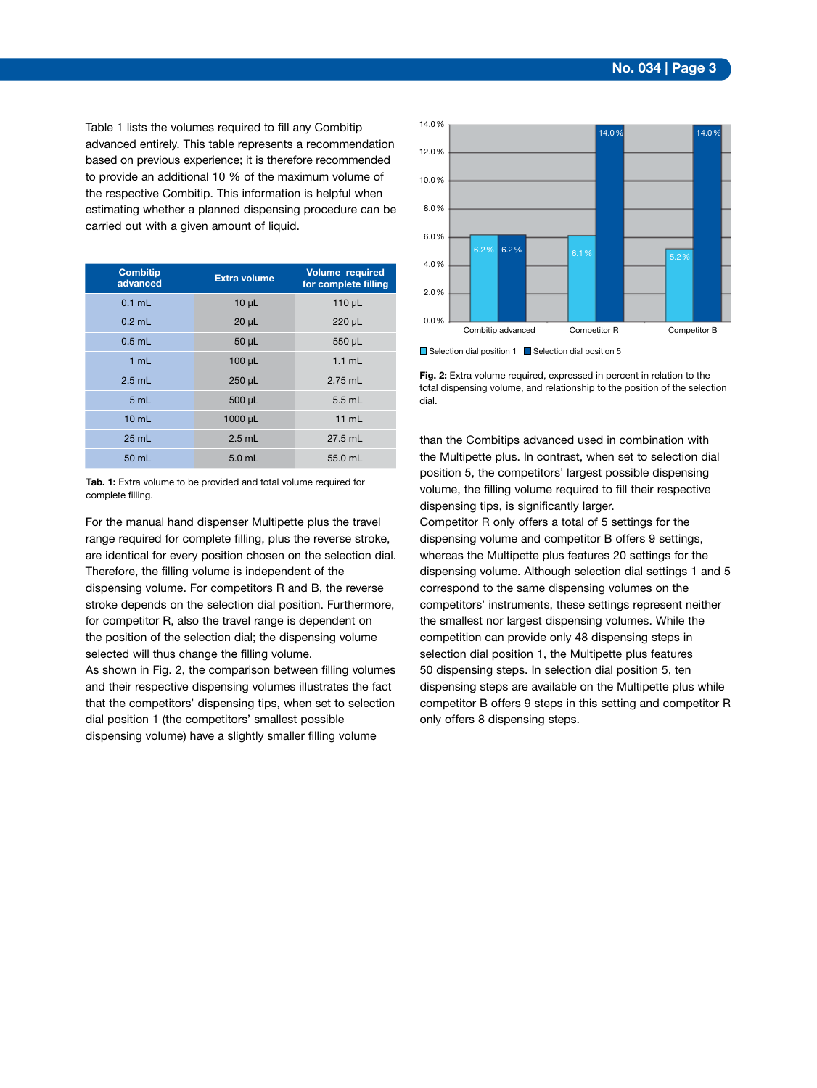Table 1 lists the volumes required to fill any Combitip advanced entirely. This table represents a recommendation based on previous experience; it is therefore recommended to provide an additional 10 % of the maximum volume of the respective Combitip. This information is helpful when estimating whether a planned dispensing procedure can be carried out with a given amount of liquid.

| <b>Combitip</b><br>advanced | <b>Extra volume</b> | <b>Volume required</b><br>for complete filling |
|-----------------------------|---------------------|------------------------------------------------|
| $0.1$ mL                    | $10 \mu L$          | 110 $\mu$ L                                    |
| $0.2$ mL                    | $20 \mu L$          | $220 \mu L$                                    |
| $0.5$ mL                    | $50 \mu L$          | 550 µL                                         |
| 1 mL                        | $100 \mu L$         | $1.1$ mL                                       |
| $2.5$ mL                    | 250 µL              | $2.75$ mL                                      |
| 5 mL                        | $500 \mu L$         | $5.5$ mL                                       |
| $10 \text{ mL}$             | $1000 \mu L$        | 11 mL                                          |
| $25$ mL                     | $2.5$ mL            | $27.5$ mL                                      |
| 50 mL                       | $5.0$ mL            | 55.0 mL                                        |

**Tab. 1:** Extra volume to be provided and total volume required for complete filling.

For the manual hand dispenser Multipette plus the travel range required for complete filling, plus the reverse stroke, are identical for every position chosen on the selection dial. Therefore, the filling volume is independent of the dispensing volume. For competitors R and B, the reverse stroke depends on the selection dial position. Furthermore, for competitor R, also the travel range is dependent on the position of the selection dial; the dispensing volume selected will thus change the filling volume. As shown in Fig. 2, the comparison between filling volumes

and their respective dispensing volumes illustrates the fact that the competitors' dispensing tips, when set to selection dial position 1 (the competitors' smallest possible dispensing volume) have a slightly smaller filling volume



 $\Box$  Selection dial position 1  $\Box$  Selection dial position 5

Fig. 2: Extra volume required, expressed in percent in relation to the total dispensing volume, and relationship to the position of the selection dial.

than the Combitips advanced used in combination with the Multipette plus. In contrast, when set to selection dial position 5, the competitors' largest possible dispensing volume, the filling volume required to fill their respective dispensing tips, is significantly larger.

Competitor R only offers a total of 5 settings for the dispensing volume and competitor B offers 9 settings, whereas the Multipette plus features 20 settings for the dispensing volume. Although selection dial settings 1 and 5 correspond to the same dispensing volumes on the competitors' instruments, these settings represent neither the smallest nor largest dispensing volumes. While the competition can provide only 48 dispensing steps in selection dial position 1, the Multipette plus features 50 dispensing steps. In selection dial position 5, ten dispensing steps are available on the Multipette plus while competitor B offers 9 steps in this setting and competitor R only offers 8 dispensing steps.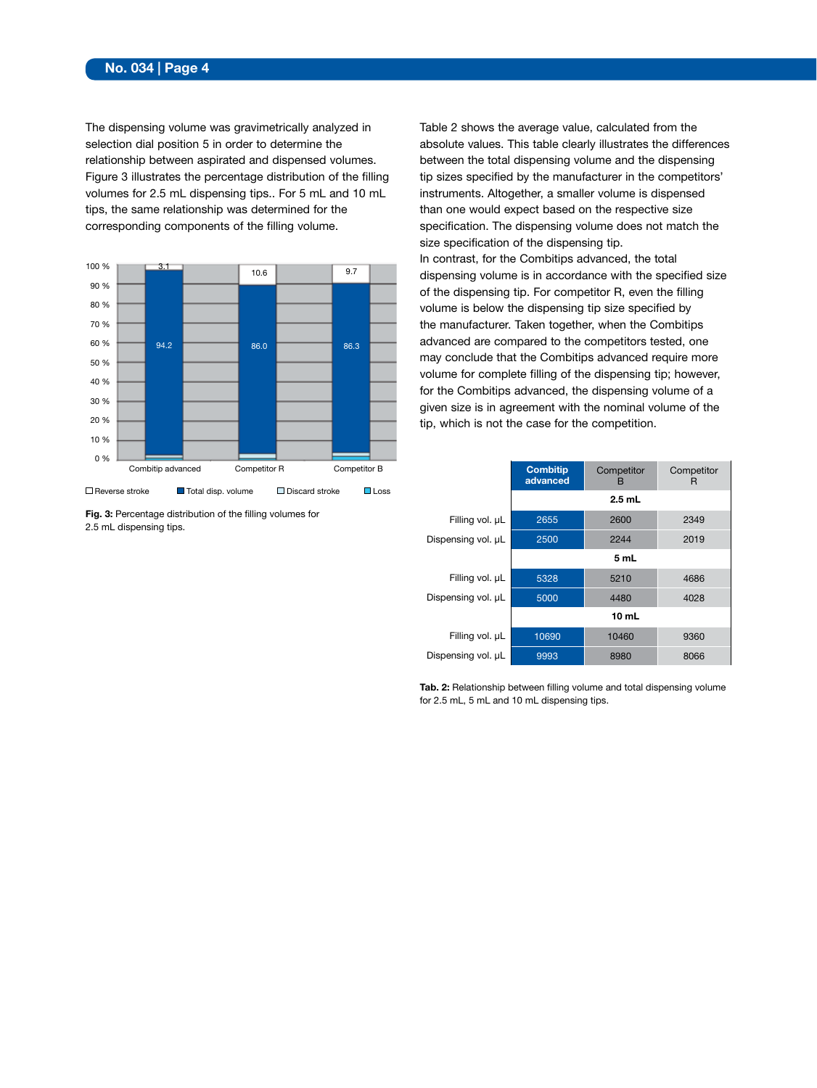## **No. 034 | Page 4**

The dispensing volume was gravimetrically analyzed in selection dial position 5 in order to determine the relationship between aspirated and dispensed volumes. Figure 3 illustrates the percentage distribution of the filling volumes for 2.5 mL dispensing tips.. For 5 mL and 10 mL tips, the same relationship was determined for the corresponding components of the filling volume.



**Fig. 3:** Percentage distribution of the filling volumes for 2.5 mL dispensing tips.

Table 2 shows the average value, calculated from the absolute values. This table clearly illustrates the differences between the total dispensing volume and the dispensing tip sizes specified by the manufacturer in the competitors' instruments. Altogether, a smaller volume is dispensed than one would expect based on the respective size specification. The dispensing volume does not match the size specification of the dispensing tip. In contrast, for the Combitips advanced, the total

dispensing volume is in accordance with the specified size of the dispensing tip. For competitor R, even the filling volume is below the dispensing tip size specified by the manufacturer. Taken together, when the Combitips advanced are compared to the competitors tested, one may conclude that the Combitips advanced require more volume for complete filling of the dispensing tip; however, for the Combitips advanced, the dispensing volume of a given size is in agreement with the nominal volume of the tip, which is not the case for the competition.

|                    | <b>Combitip</b><br>advanced | Competitor<br>в | Competitor<br>R |
|--------------------|-----------------------------|-----------------|-----------------|
|                    | $2.5$ mL                    |                 |                 |
| Filling vol. µL    | 2655                        | 2600            | 2349            |
| Dispensing vol. µL | 2500                        | 2244            | 2019            |
|                    |                             | 5 mL            |                 |
| Filling vol. µL    | 5328                        | 5210            | 4686            |
| Dispensing vol. µL | 5000                        | 4480            | 4028            |
|                    | 10 <sub>mL</sub>            |                 |                 |
| Filling vol. µL    | 10690                       | 10460           | 9360            |
| Dispensing vol. µL | 9993                        | 8980            | 8066            |

**Tab. 2:** Relationship between filling volume and total dispensing volume for 2.5 mL, 5 mL and 10 mL dispensing tips.